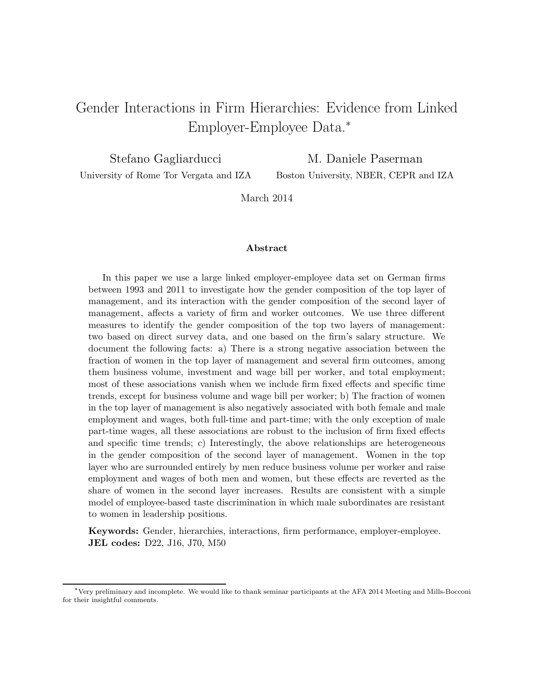# Gender Interactions in Firm Hierarchies: Evidence from Linked Employer-Employee Data.<sup>∗</sup>

Stefano Gagliarducci

M. Daniele Paserman

University of Rome Tor Vergata and IZA

Boston University, NBER, CEPR and IZA

March 2014

#### Abstract

In this paper we use a large linked employer-employee data set on German firms between 1993 and 2011 to investigate how the gender composition of the top layer of management, and its interaction with the gender composition of the second layer of management, affects a variety of firm and worker outcomes. We use three different measures to identify the gender composition of the top two layers of management: two based on direct survey data, and one based on the firm's salary structure. We document the following facts: a) There is a strong negative association between the fraction of women in the top layer of management and several firm outcomes, among them business volume, investment and wage bill per worker, and total employment; most of these associations vanish when we include firm fixed effects and specific time trends, except for business volume and wage bill per worker; b) The fraction of women in the top layer of management is also negatively associated with both female and male employment and wages, both full-time and part-time; with the only exception of male part-time wages, all these associations are robust to the inclusion of firm fixed effects and specific time trends; c) Interestingly, the above relationships are heterogeneous in the gender composition of the second layer of management. Women in the top layer who are surrounded entirely by men reduce business volume per worker and raise employment and wages of both men and women, but these effects are reverted as the share of women in the second layer increases. Results are consistent with a simple model of employee-based taste discrimination in which male subordinates are resistant to women in leadership positions.

Keywords: Gender, hierarchies, interactions, firm performance, employer-employee. JEL codes: D22, J16, J70, M50

<sup>∗</sup>Very preliminary and incomplete. We would like to thank seminar participants at the AFA 2014 Meeting and Mills-Bocconi for their insightful comments.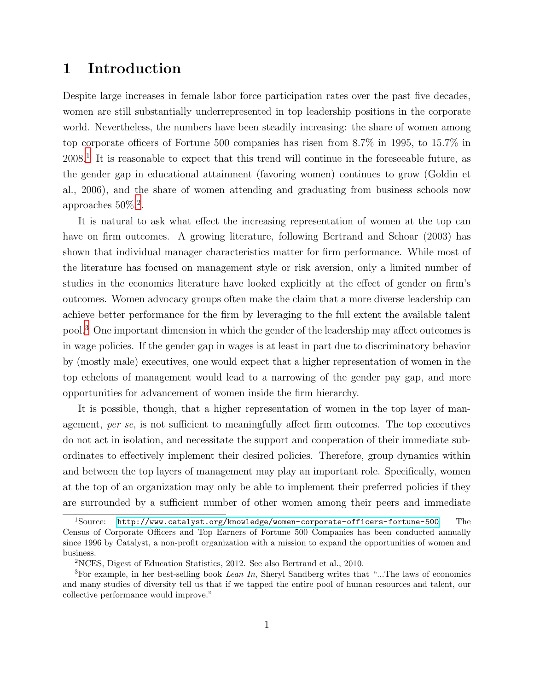# 1 Introduction

Despite large increases in female labor force participation rates over the past five decades, women are still substantially underrepresented in top leadership positions in the corporate world. Nevertheless, the numbers have been steadily increasing: the share of women among top corporate officers of Fortune 500 companies has risen from 8.7% in 1995, to 15.7% in 2008.<sup>1</sup> It is reasonable to expect that this trend will continue in the foreseeable future, as the gender gap in educational attainment (favoring women) continues to grow (Goldin et al., 2006), and the share of women attending and graduating from business schools now approaches  $50\%$ <sup>2</sup>.

It is natural to ask what effect the increasing representation of women at the top can have on firm outcomes. A growing literature, following Bertrand and Schoar (2003) has shown that individual manager characteristics matter for firm performance. While most of the literature has focused on management style or risk aversion, only a limited number of studies in the economics literature have looked explicitly at the effect of gender on firm's outcomes. Women advocacy groups often make the claim that a more diverse leadership can achieve better performance for the firm by leveraging to the full extent the available talent pool.<sup>3</sup> One important dimension in which the gender of the leadership may affect outcomes is in wage policies. If the gender gap in wages is at least in part due to discriminatory behavior by (mostly male) executives, one would expect that a higher representation of women in the top echelons of management would lead to a narrowing of the gender pay gap, and more opportunities for advancement of women inside the firm hierarchy.

It is possible, though, that a higher representation of women in the top layer of management, per se, is not sufficient to meaningfully affect firm outcomes. The top executives do not act in isolation, and necessitate the support and cooperation of their immediate subordinates to effectively implement their desired policies. Therefore, group dynamics within and between the top layers of management may play an important role. Specifically, women at the top of an organization may only be able to implement their preferred policies if they are surrounded by a sufficient number of other women among their peers and immediate

 $1$ Source: <http://www.catalyst.org/knowledge/women-corporate-officers-fortune-500>. The Census of Corporate Officers and Top Earners of Fortune 500 Companies has been conducted annually since 1996 by Catalyst, a non-profit organization with a mission to expand the opportunities of women and business.

<sup>2</sup>NCES, Digest of Education Statistics, 2012. See also Bertrand et al., 2010.

<sup>&</sup>lt;sup>3</sup>For example, in her best-selling book *Lean In*, Sheryl Sandberg writes that "...The laws of economics and many studies of diversity tell us that if we tapped the entire pool of human resources and talent, our collective performance would improve."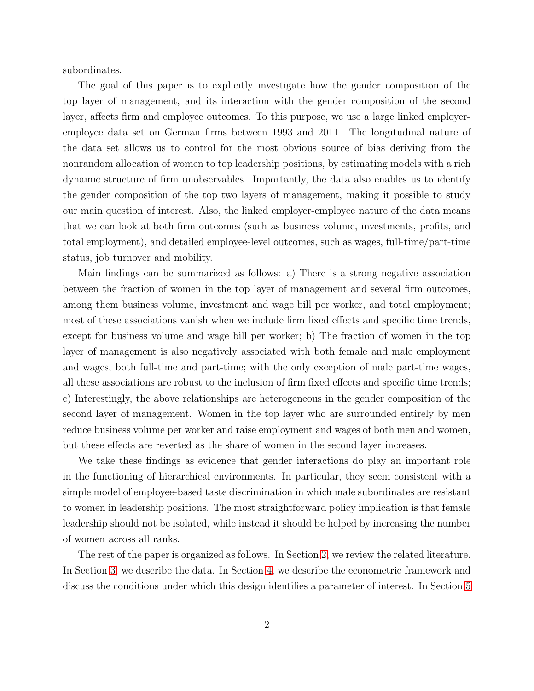subordinates.

The goal of this paper is to explicitly investigate how the gender composition of the top layer of management, and its interaction with the gender composition of the second layer, affects firm and employee outcomes. To this purpose, we use a large linked employeremployee data set on German firms between 1993 and 2011. The longitudinal nature of the data set allows us to control for the most obvious source of bias deriving from the nonrandom allocation of women to top leadership positions, by estimating models with a rich dynamic structure of firm unobservables. Importantly, the data also enables us to identify the gender composition of the top two layers of management, making it possible to study our main question of interest. Also, the linked employer-employee nature of the data means that we can look at both firm outcomes (such as business volume, investments, profits, and total employment), and detailed employee-level outcomes, such as wages, full-time/part-time status, job turnover and mobility.

Main findings can be summarized as follows: a) There is a strong negative association between the fraction of women in the top layer of management and several firm outcomes, among them business volume, investment and wage bill per worker, and total employment; most of these associations vanish when we include firm fixed effects and specific time trends, except for business volume and wage bill per worker; b) The fraction of women in the top layer of management is also negatively associated with both female and male employment and wages, both full-time and part-time; with the only exception of male part-time wages, all these associations are robust to the inclusion of firm fixed effects and specific time trends; c) Interestingly, the above relationships are heterogeneous in the gender composition of the second layer of management. Women in the top layer who are surrounded entirely by men reduce business volume per worker and raise employment and wages of both men and women, but these effects are reverted as the share of women in the second layer increases.

We take these findings as evidence that gender interactions do play an important role in the functioning of hierarchical environments. In particular, they seem consistent with a simple model of employee-based taste discrimination in which male subordinates are resistant to women in leadership positions. The most straightforward policy implication is that female leadership should not be isolated, while instead it should be helped by increasing the number of women across all ranks.

The rest of the paper is organized as follows. In Section [2,](#page-3-0) we review the related literature. In Section [3,](#page-4-0) we describe the data. In Section [4,](#page-6-0) we describe the econometric framework and discuss the conditions under which this design identifies a parameter of interest. In Section [5](#page-7-0)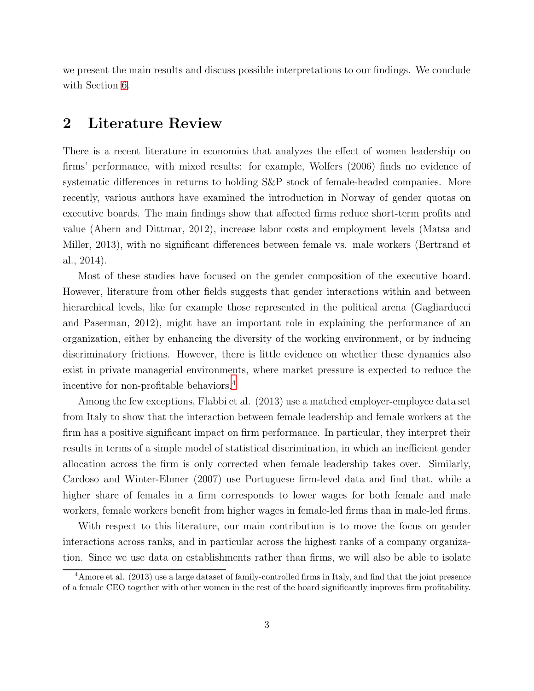<span id="page-3-0"></span>we present the main results and discuss possible interpretations to our findings. We conclude with Section [6.](#page-10-0)

### 2 Literature Review

There is a recent literature in economics that analyzes the effect of women leadership on firms' performance, with mixed results: for example, Wolfers (2006) finds no evidence of systematic differences in returns to holding S&P stock of female-headed companies. More recently, various authors have examined the introduction in Norway of gender quotas on executive boards. The main findings show that affected firms reduce short-term profits and value (Ahern and Dittmar, 2012), increase labor costs and employment levels (Matsa and Miller, 2013), with no significant differences between female vs. male workers (Bertrand et al., 2014).

Most of these studies have focused on the gender composition of the executive board. However, literature from other fields suggests that gender interactions within and between hierarchical levels, like for example those represented in the political arena (Gagliarducci and Paserman, 2012), might have an important role in explaining the performance of an organization, either by enhancing the diversity of the working environment, or by inducing discriminatory frictions. However, there is little evidence on whether these dynamics also exist in private managerial environments, where market pressure is expected to reduce the incentive for non-profitable behaviors.<sup>4</sup>

Among the few exceptions, Flabbi et al. (2013) use a matched employer-employee data set from Italy to show that the interaction between female leadership and female workers at the firm has a positive significant impact on firm performance. In particular, they interpret their results in terms of a simple model of statistical discrimination, in which an inefficient gender allocation across the firm is only corrected when female leadership takes over. Similarly, Cardoso and Winter-Ebmer (2007) use Portuguese firm-level data and find that, while a higher share of females in a firm corresponds to lower wages for both female and male workers, female workers benefit from higher wages in female-led firms than in male-led firms.

With respect to this literature, our main contribution is to move the focus on gender interactions across ranks, and in particular across the highest ranks of a company organization. Since we use data on establishments rather than firms, we will also be able to isolate

<sup>&</sup>lt;sup>4</sup>Amore et al. (2013) use a large dataset of family-controlled firms in Italy, and find that the joint presence of a female CEO together with other women in the rest of the board significantly improves firm profitability.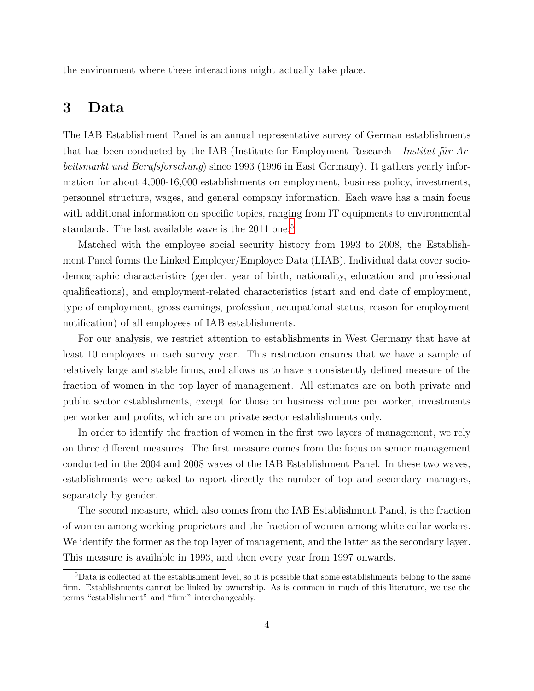<span id="page-4-0"></span>the environment where these interactions might actually take place.

# 3 Data

The IAB Establishment Panel is an annual representative survey of German establishments that has been conducted by the IAB (Institute for Employment Research - Institut fur Arbeitsmarkt und Berufsforschung) since 1993 (1996 in East Germany). It gathers yearly information for about 4,000-16,000 establishments on employment, business policy, investments, personnel structure, wages, and general company information. Each wave has a main focus with additional information on specific topics, ranging from IT equipments to environmental standards. The last available wave is the 2011 one.<sup>5</sup>

Matched with the employee social security history from 1993 to 2008, the Establishment Panel forms the Linked Employer/Employee Data (LIAB). Individual data cover sociodemographic characteristics (gender, year of birth, nationality, education and professional qualifications), and employment-related characteristics (start and end date of employment, type of employment, gross earnings, profession, occupational status, reason for employment notification) of all employees of IAB establishments.

For our analysis, we restrict attention to establishments in West Germany that have at least 10 employees in each survey year. This restriction ensures that we have a sample of relatively large and stable firms, and allows us to have a consistently defined measure of the fraction of women in the top layer of management. All estimates are on both private and public sector establishments, except for those on business volume per worker, investments per worker and profits, which are on private sector establishments only.

In order to identify the fraction of women in the first two layers of management, we rely on three different measures. The first measure comes from the focus on senior management conducted in the 2004 and 2008 waves of the IAB Establishment Panel. In these two waves, establishments were asked to report directly the number of top and secondary managers, separately by gender.

The second measure, which also comes from the IAB Establishment Panel, is the fraction of women among working proprietors and the fraction of women among white collar workers. We identify the former as the top layer of management, and the latter as the secondary layer. This measure is available in 1993, and then every year from 1997 onwards.

 $5$ Data is collected at the establishment level, so it is possible that some establishments belong to the same firm. Establishments cannot be linked by ownership. As is common in much of this literature, we use the terms "establishment" and "firm" interchangeably.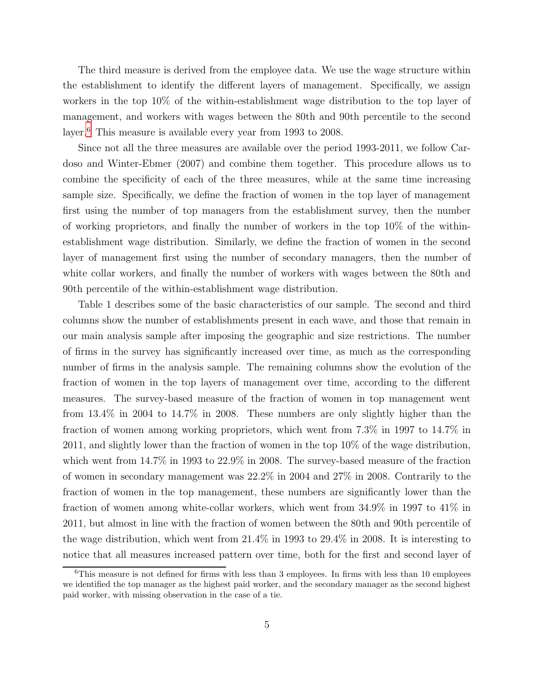The third measure is derived from the employee data. We use the wage structure within the establishment to identify the different layers of management. Specifically, we assign workers in the top 10% of the within-establishment wage distribution to the top layer of management, and workers with wages between the 80th and 90th percentile to the second layer.<sup>6</sup> This measure is available every year from 1993 to 2008.

Since not all the three measures are available over the period 1993-2011, we follow Cardoso and Winter-Ebmer (2007) and combine them together. This procedure allows us to combine the specificity of each of the three measures, while at the same time increasing sample size. Specifically, we define the fraction of women in the top layer of management first using the number of top managers from the establishment survey, then the number of working proprietors, and finally the number of workers in the top 10% of the withinestablishment wage distribution. Similarly, we define the fraction of women in the second layer of management first using the number of secondary managers, then the number of white collar workers, and finally the number of workers with wages between the 80th and 90th percentile of the within-establishment wage distribution.

Table 1 describes some of the basic characteristics of our sample. The second and third columns show the number of establishments present in each wave, and those that remain in our main analysis sample after imposing the geographic and size restrictions. The number of firms in the survey has significantly increased over time, as much as the corresponding number of firms in the analysis sample. The remaining columns show the evolution of the fraction of women in the top layers of management over time, according to the different measures. The survey-based measure of the fraction of women in top management went from 13.4% in 2004 to 14.7% in 2008. These numbers are only slightly higher than the fraction of women among working proprietors, which went from 7.3% in 1997 to 14.7% in 2011, and slightly lower than the fraction of women in the top 10% of the wage distribution, which went from  $14.7\%$  in 1993 to  $22.9\%$  in 2008. The survey-based measure of the fraction of women in secondary management was 22.2% in 2004 and 27% in 2008. Contrarily to the fraction of women in the top management, these numbers are significantly lower than the fraction of women among white-collar workers, which went from 34.9% in 1997 to 41% in 2011, but almost in line with the fraction of women between the 80th and 90th percentile of the wage distribution, which went from 21.4% in 1993 to 29.4% in 2008. It is interesting to notice that all measures increased pattern over time, both for the first and second layer of

 $6$ This measure is not defined for firms with less than 3 employees. In firms with less than 10 employees we identified the top manager as the highest paid worker, and the secondary manager as the second highest paid worker, with missing observation in the case of a tie.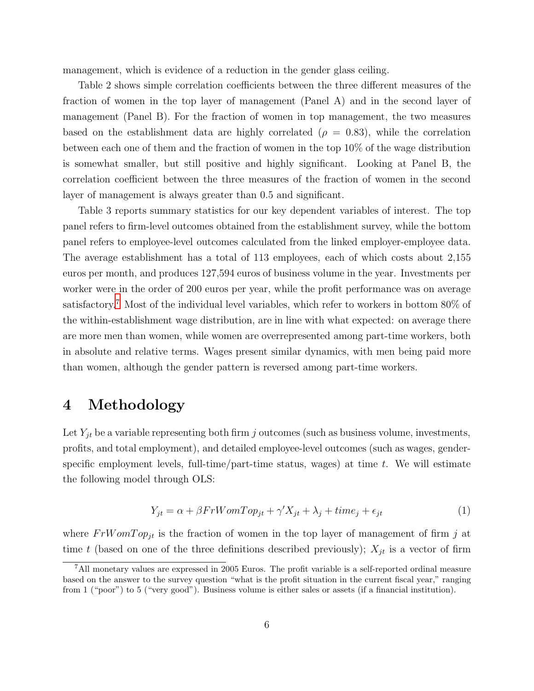management, which is evidence of a reduction in the gender glass ceiling.

Table 2 shows simple correlation coefficients between the three different measures of the fraction of women in the top layer of management (Panel A) and in the second layer of management (Panel B). For the fraction of women in top management, the two measures based on the establishment data are highly correlated ( $\rho = 0.83$ ), while the correlation between each one of them and the fraction of women in the top 10% of the wage distribution is somewhat smaller, but still positive and highly significant. Looking at Panel B, the correlation coefficient between the three measures of the fraction of women in the second layer of management is always greater than 0.5 and significant.

Table 3 reports summary statistics for our key dependent variables of interest. The top panel refers to firm-level outcomes obtained from the establishment survey, while the bottom panel refers to employee-level outcomes calculated from the linked employer-employee data. The average establishment has a total of 113 employees, each of which costs about 2,155 euros per month, and produces 127,594 euros of business volume in the year. Investments per worker were in the order of 200 euros per year, while the profit performance was on average satisfactory.<sup>7</sup> Most of the individual level variables, which refer to workers in bottom 80% of the within-establishment wage distribution, are in line with what expected: on average there are more men than women, while women are overrepresented among part-time workers, both in absolute and relative terms. Wages present similar dynamics, with men being paid more than women, although the gender pattern is reversed among part-time workers.

# <span id="page-6-0"></span>4 Methodology

Let  $Y_{jt}$  be a variable representing both firm j outcomes (such as business volume, investments, profits, and total employment), and detailed employee-level outcomes (such as wages, genderspecific employment levels, full-time/part-time status, wages) at time t. We will estimate the following model through OLS:

$$
Y_{jt} = \alpha + \beta FrWomTop_{jt} + \gamma' X_{jt} + \lambda_j + time_j + \epsilon_{jt}
$$
\n<sup>(1)</sup>

where  $FrWomTop_{jt}$  is the fraction of women in the top layer of management of firm j at time t (based on one of the three definitions described previously);  $X_{jt}$  is a vector of firm

<sup>7</sup>All monetary values are expressed in 2005 Euros. The profit variable is a self-reported ordinal measure based on the answer to the survey question "what is the profit situation in the current fiscal year," ranging from 1 ("poor") to 5 ("very good"). Business volume is either sales or assets (if a financial institution).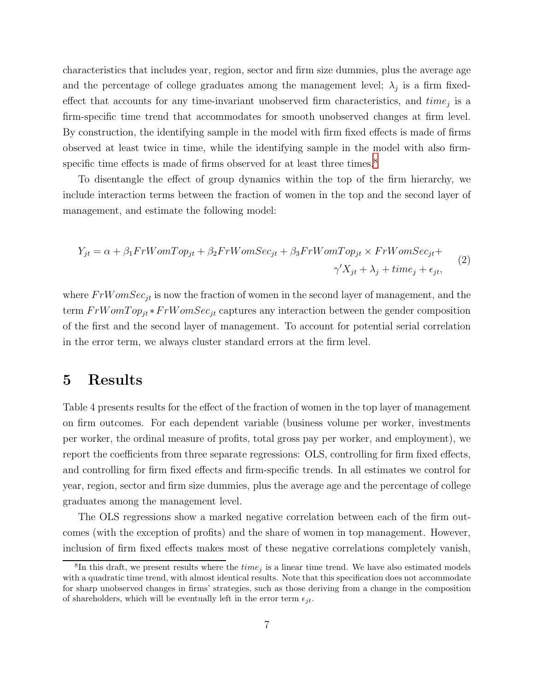characteristics that includes year, region, sector and firm size dummies, plus the average age and the percentage of college graduates among the management level;  $\lambda_j$  is a firm fixedeffect that accounts for any time-invariant unobserved firm characteristics, and  $time_j$  is a firm-specific time trend that accommodates for smooth unobserved changes at firm level. By construction, the identifying sample in the model with firm fixed effects is made of firms observed at least twice in time, while the identifying sample in the model with also firmspecific time effects is made of firms observed for at least three times.<sup>8</sup>

To disentangle the effect of group dynamics within the top of the firm hierarchy, we include interaction terms between the fraction of women in the top and the second layer of management, and estimate the following model:

$$
Y_{jt} = \alpha + \beta_1 FrWomTop_{jt} + \beta_2 FrWomSec_{jt} + \beta_3 FrWomTop_{jt} \times FrWomSec_{jt} +
$$
  

$$
\gamma'X_{jt} + \lambda_j + time_j + \epsilon_{jt},
$$
 (2)

where  $FrWomSec_{jt}$  is now the fraction of women in the second layer of management, and the term  $FrWomTop_{jt} * FrWomSec_{jt}$  captures any interaction between the gender composition of the first and the second layer of management. To account for potential serial correlation in the error term, we always cluster standard errors at the firm level.

# <span id="page-7-0"></span>5 Results

Table 4 presents results for the effect of the fraction of women in the top layer of management on firm outcomes. For each dependent variable (business volume per worker, investments per worker, the ordinal measure of profits, total gross pay per worker, and employment), we report the coefficients from three separate regressions: OLS, controlling for firm fixed effects, and controlling for firm fixed effects and firm-specific trends. In all estimates we control for year, region, sector and firm size dummies, plus the average age and the percentage of college graduates among the management level.

The OLS regressions show a marked negative correlation between each of the firm outcomes (with the exception of profits) and the share of women in top management. However, inclusion of firm fixed effects makes most of these negative correlations completely vanish,

<sup>&</sup>lt;sup>8</sup>In this draft, we present results where the  $time_j$  is a linear time trend. We have also estimated models with a quadratic time trend, with almost identical results. Note that this specification does not accommodate for sharp unobserved changes in firms' strategies, such as those deriving from a change in the composition of shareholders, which will be eventually left in the error term  $\epsilon_{it}$ .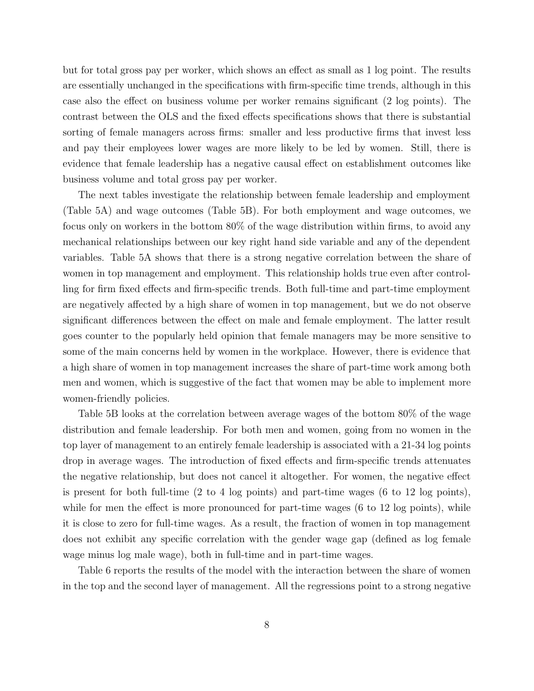but for total gross pay per worker, which shows an effect as small as 1 log point. The results are essentially unchanged in the specifications with firm-specific time trends, although in this case also the effect on business volume per worker remains significant (2 log points). The contrast between the OLS and the fixed effects specifications shows that there is substantial sorting of female managers across firms: smaller and less productive firms that invest less and pay their employees lower wages are more likely to be led by women. Still, there is evidence that female leadership has a negative causal effect on establishment outcomes like business volume and total gross pay per worker.

The next tables investigate the relationship between female leadership and employment (Table 5A) and wage outcomes (Table 5B). For both employment and wage outcomes, we focus only on workers in the bottom 80% of the wage distribution within firms, to avoid any mechanical relationships between our key right hand side variable and any of the dependent variables. Table 5A shows that there is a strong negative correlation between the share of women in top management and employment. This relationship holds true even after controlling for firm fixed effects and firm-specific trends. Both full-time and part-time employment are negatively affected by a high share of women in top management, but we do not observe significant differences between the effect on male and female employment. The latter result goes counter to the popularly held opinion that female managers may be more sensitive to some of the main concerns held by women in the workplace. However, there is evidence that a high share of women in top management increases the share of part-time work among both men and women, which is suggestive of the fact that women may be able to implement more women-friendly policies.

Table 5B looks at the correlation between average wages of the bottom 80% of the wage distribution and female leadership. For both men and women, going from no women in the top layer of management to an entirely female leadership is associated with a 21-34 log points drop in average wages. The introduction of fixed effects and firm-specific trends attenuates the negative relationship, but does not cancel it altogether. For women, the negative effect is present for both full-time (2 to 4 log points) and part-time wages (6 to 12 log points), while for men the effect is more pronounced for part-time wages (6 to 12 log points), while it is close to zero for full-time wages. As a result, the fraction of women in top management does not exhibit any specific correlation with the gender wage gap (defined as log female wage minus log male wage), both in full-time and in part-time wages.

Table 6 reports the results of the model with the interaction between the share of women in the top and the second layer of management. All the regressions point to a strong negative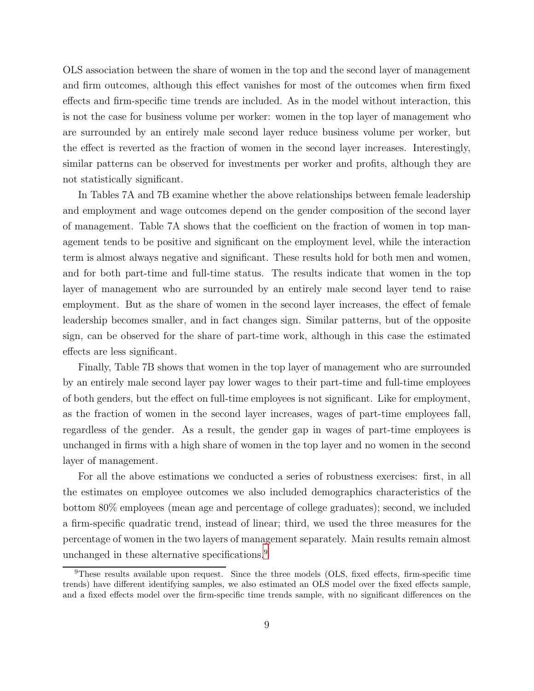OLS association between the share of women in the top and the second layer of management and firm outcomes, although this effect vanishes for most of the outcomes when firm fixed effects and firm-specific time trends are included. As in the model without interaction, this is not the case for business volume per worker: women in the top layer of management who are surrounded by an entirely male second layer reduce business volume per worker, but the effect is reverted as the fraction of women in the second layer increases. Interestingly, similar patterns can be observed for investments per worker and profits, although they are not statistically significant.

In Tables 7A and 7B examine whether the above relationships between female leadership and employment and wage outcomes depend on the gender composition of the second layer of management. Table 7A shows that the coefficient on the fraction of women in top management tends to be positive and significant on the employment level, while the interaction term is almost always negative and significant. These results hold for both men and women, and for both part-time and full-time status. The results indicate that women in the top layer of management who are surrounded by an entirely male second layer tend to raise employment. But as the share of women in the second layer increases, the effect of female leadership becomes smaller, and in fact changes sign. Similar patterns, but of the opposite sign, can be observed for the share of part-time work, although in this case the estimated effects are less significant.

Finally, Table 7B shows that women in the top layer of management who are surrounded by an entirely male second layer pay lower wages to their part-time and full-time employees of both genders, but the effect on full-time employees is not significant. Like for employment, as the fraction of women in the second layer increases, wages of part-time employees fall, regardless of the gender. As a result, the gender gap in wages of part-time employees is unchanged in firms with a high share of women in the top layer and no women in the second layer of management.

For all the above estimations we conducted a series of robustness exercises: first, in all the estimates on employee outcomes we also included demographics characteristics of the bottom 80% employees (mean age and percentage of college graduates); second, we included a firm-specific quadratic trend, instead of linear; third, we used the three measures for the percentage of women in the two layers of management separately. Main results remain almost unchanged in these alternative specifications.<sup>9</sup>

<sup>9</sup>These results available upon request. Since the three models (OLS, fixed effects, firm-specific time trends) have different identifying samples, we also estimated an OLS model over the fixed effects sample, and a fixed effects model over the firm-specific time trends sample, with no significant differences on the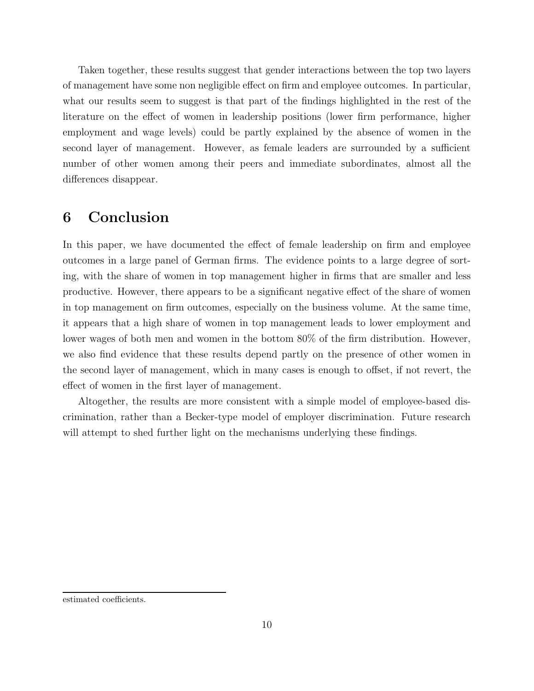Taken together, these results suggest that gender interactions between the top two layers of management have some non negligible effect on firm and employee outcomes. In particular, what our results seem to suggest is that part of the findings highlighted in the rest of the literature on the effect of women in leadership positions (lower firm performance, higher employment and wage levels) could be partly explained by the absence of women in the second layer of management. However, as female leaders are surrounded by a sufficient number of other women among their peers and immediate subordinates, almost all the differences disappear.

# <span id="page-10-0"></span>6 Conclusion

In this paper, we have documented the effect of female leadership on firm and employee outcomes in a large panel of German firms. The evidence points to a large degree of sorting, with the share of women in top management higher in firms that are smaller and less productive. However, there appears to be a significant negative effect of the share of women in top management on firm outcomes, especially on the business volume. At the same time, it appears that a high share of women in top management leads to lower employment and lower wages of both men and women in the bottom 80% of the firm distribution. However, we also find evidence that these results depend partly on the presence of other women in the second layer of management, which in many cases is enough to offset, if not revert, the effect of women in the first layer of management.

Altogether, the results are more consistent with a simple model of employee-based discrimination, rather than a Becker-type model of employer discrimination. Future research will attempt to shed further light on the mechanisms underlying these findings.

estimated coefficients.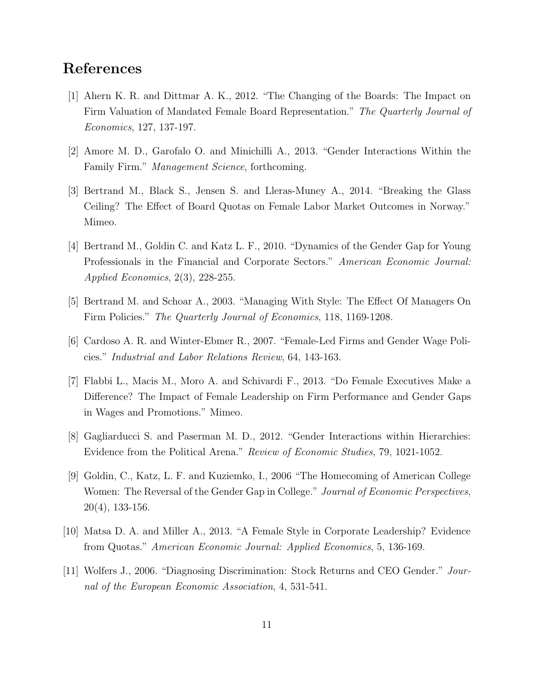# References

- [1] Ahern K. R. and Dittmar A. K., 2012. "The Changing of the Boards: The Impact on Firm Valuation of Mandated Female Board Representation." The Quarterly Journal of Economics, 127, 137-197.
- [2] Amore M. D., Garofalo O. and Minichilli A., 2013. "Gender Interactions Within the Family Firm." Management Science, forthcoming.
- [3] Bertrand M., Black S., Jensen S. and Lleras-Muney A., 2014. "Breaking the Glass Ceiling? The Effect of Board Quotas on Female Labor Market Outcomes in Norway." Mimeo.
- [4] Bertrand M., Goldin C. and Katz L. F., 2010. "Dynamics of the Gender Gap for Young Professionals in the Financial and Corporate Sectors." American Economic Journal: Applied Economics, 2(3), 228-255.
- [5] Bertrand M. and Schoar A., 2003. "Managing With Style: The Effect Of Managers On Firm Policies." The Quarterly Journal of Economics, 118, 1169-1208.
- [6] Cardoso A. R. and Winter-Ebmer R., 2007. "Female-Led Firms and Gender Wage Policies." Industrial and Labor Relations Review, 64, 143-163.
- [7] Flabbi L., Macis M., Moro A. and Schivardi F., 2013. "Do Female Executives Make a Difference? The Impact of Female Leadership on Firm Performance and Gender Gaps in Wages and Promotions." Mimeo.
- [8] Gagliarducci S. and Paserman M. D., 2012. "Gender Interactions within Hierarchies: Evidence from the Political Arena." Review of Economic Studies, 79, 1021-1052.
- [9] Goldin, C., Katz, L. F. and Kuziemko, I., 2006 "The Homecoming of American College Women: The Reversal of the Gender Gap in College." Journal of Economic Perspectives, 20(4), 133-156.
- [10] Matsa D. A. and Miller A., 2013. "A Female Style in Corporate Leadership? Evidence from Quotas." American Economic Journal: Applied Economics, 5, 136-169.
- [11] Wolfers J., 2006. "Diagnosing Discrimination: Stock Returns and CEO Gender." Journal of the European Economic Association, 4, 531-541.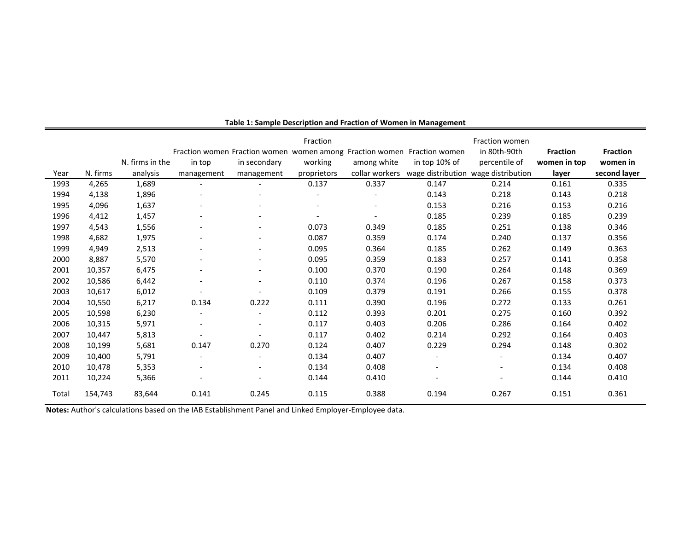|       |          |                             |                          |                            | Fraction                 |                               | Fraction women Fraction women women among Fraction women Fraction women | Fraction women<br>in 80th-90th | <b>Fraction</b>       | <b>Fraction</b>          |
|-------|----------|-----------------------------|--------------------------|----------------------------|--------------------------|-------------------------------|-------------------------------------------------------------------------|--------------------------------|-----------------------|--------------------------|
| Year  | N. firms | N. firms in the<br>analysis | in top<br>management     | in secondary<br>management | working<br>proprietors   | among white<br>collar workers | in top 10% of<br>wage distribution wage distribution                    | percentile of                  | women in top<br>layer | women in<br>second layer |
| 1993  | 4,265    | 1,689                       | $\overline{\phantom{a}}$ |                            | 0.137                    | 0.337                         | 0.147                                                                   | 0.214                          | 0.161                 | 0.335                    |
| 1994  | 4,138    | 1,896                       | $\overline{\phantom{a}}$ |                            | $\overline{\phantom{0}}$ | $\overline{\phantom{a}}$      | 0.143                                                                   | 0.218                          | 0.143                 | 0.218                    |
| 1995  | 4,096    | 1,637                       | $\overline{\phantom{a}}$ |                            | $\overline{\phantom{0}}$ | $\overline{\phantom{a}}$      | 0.153                                                                   | 0.216                          | 0.153                 | 0.216                    |
| 1996  | 4,412    | 1,457                       | $\overline{\phantom{a}}$ |                            | $\overline{\phantom{a}}$ | $\overline{\phantom{a}}$      | 0.185                                                                   | 0.239                          | 0.185                 | 0.239                    |
| 1997  | 4,543    | 1,556                       | $\overline{\phantom{a}}$ |                            | 0.073                    | 0.349                         | 0.185                                                                   | 0.251                          | 0.138                 | 0.346                    |
| 1998  | 4,682    | 1,975                       | $\overline{\phantom{a}}$ |                            | 0.087                    | 0.359                         | 0.174                                                                   | 0.240                          | 0.137                 | 0.356                    |
| 1999  | 4,949    | 2,513                       | $\overline{\phantom{a}}$ |                            | 0.095                    | 0.364                         | 0.185                                                                   | 0.262                          | 0.149                 | 0.363                    |
| 2000  | 8,887    | 5,570                       | $\overline{\phantom{a}}$ |                            | 0.095                    | 0.359                         | 0.183                                                                   | 0.257                          | 0.141                 | 0.358                    |
| 2001  | 10,357   | 6,475                       |                          |                            | 0.100                    | 0.370                         | 0.190                                                                   | 0.264                          | 0.148                 | 0.369                    |
| 2002  | 10,586   | 6,442                       | $\overline{\phantom{a}}$ |                            | 0.110                    | 0.374                         | 0.196                                                                   | 0.267                          | 0.158                 | 0.373                    |
| 2003  | 10,617   | 6,012                       |                          |                            | 0.109                    | 0.379                         | 0.191                                                                   | 0.266                          | 0.155                 | 0.378                    |
| 2004  | 10,550   | 6,217                       | 0.134                    | 0.222                      | 0.111                    | 0.390                         | 0.196                                                                   | 0.272                          | 0.133                 | 0.261                    |
| 2005  | 10,598   | 6,230                       | $\overline{\phantom{a}}$ |                            | 0.112                    | 0.393                         | 0.201                                                                   | 0.275                          | 0.160                 | 0.392                    |
| 2006  | 10,315   | 5,971                       | $\overline{\phantom{a}}$ |                            | 0.117                    | 0.403                         | 0.206                                                                   | 0.286                          | 0.164                 | 0.402                    |
| 2007  | 10,447   | 5,813                       |                          |                            | 0.117                    | 0.402                         | 0.214                                                                   | 0.292                          | 0.164                 | 0.403                    |
| 2008  | 10,199   | 5,681                       | 0.147                    | 0.270                      | 0.124                    | 0.407                         | 0.229                                                                   | 0.294                          | 0.148                 | 0.302                    |
| 2009  | 10,400   | 5,791                       | $\overline{\phantom{a}}$ |                            | 0.134                    | 0.407                         | $\overline{\phantom{a}}$                                                | $\overline{\phantom{a}}$       | 0.134                 | 0.407                    |
| 2010  | 10,478   | 5,353                       | $\overline{\phantom{a}}$ |                            | 0.134                    | 0.408                         |                                                                         |                                | 0.134                 | 0.408                    |
| 2011  | 10,224   | 5,366                       |                          |                            | 0.144                    | 0.410                         |                                                                         |                                | 0.144                 | 0.410                    |
| Total | 154,743  | 83,644                      | 0.141                    | 0.245                      | 0.115                    | 0.388                         | 0.194                                                                   | 0.267                          | 0.151                 | 0.361                    |

### Table 1: Sample Description and Fraction of Women in Management

Notes: Author's calculations based on the IAB Establishment Panel and Linked Employer-Employee data.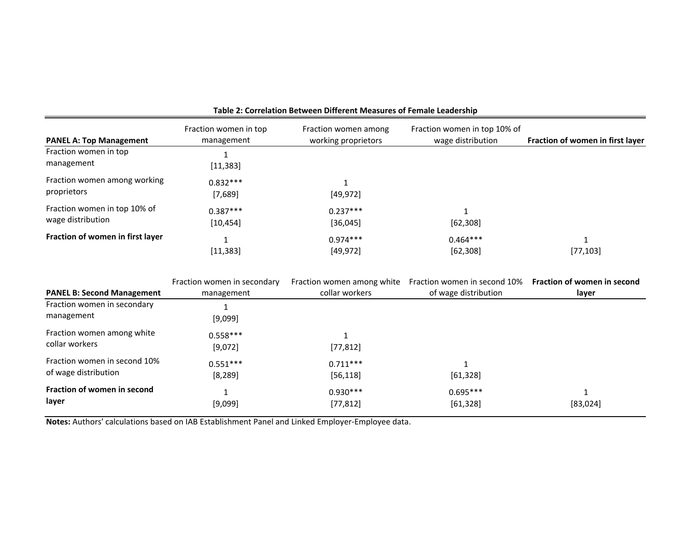| Table 2: Correlation Between Different Measures of Female Leadership |                                     |                                             |                                                   |                                  |  |  |  |  |  |  |  |  |
|----------------------------------------------------------------------|-------------------------------------|---------------------------------------------|---------------------------------------------------|----------------------------------|--|--|--|--|--|--|--|--|
| <b>PANEL A: Top Management</b>                                       | Fraction women in top<br>management | Fraction women among<br>working proprietors | Fraction women in top 10% of<br>wage distribution | Fraction of women in first layer |  |  |  |  |  |  |  |  |
| Fraction women in top<br>management                                  | [11, 383]                           |                                             |                                                   |                                  |  |  |  |  |  |  |  |  |
| Fraction women among working<br>proprietors                          | $0.832***$<br>[7,689]               | [49, 972]                                   |                                                   |                                  |  |  |  |  |  |  |  |  |
| Fraction women in top 10% of<br>wage distribution                    | $0.387***$<br>[10, 454]             | $0.237***$<br>[36,045]                      | [62, 308]                                         |                                  |  |  |  |  |  |  |  |  |
| Fraction of women in first layer                                     | [11, 383]                           | $0.974***$<br>[49, 972]                     | $0.464***$<br>[62, 308]                           | [77, 103]                        |  |  |  |  |  |  |  |  |

|                                                      | Fraction women in secondary | Fraction women among white | Fraction women in second 10% Fraction of women in second |          |
|------------------------------------------------------|-----------------------------|----------------------------|----------------------------------------------------------|----------|
| <b>PANEL B: Second Management</b>                    | management                  | collar workers             | of wage distribution                                     | layer    |
| Fraction women in secondary                          |                             |                            |                                                          |          |
| management                                           | [9,099]                     |                            |                                                          |          |
| Fraction women among white<br>collar workers         | $0.558***$<br>[9,072]       | [77, 812]                  |                                                          |          |
| Fraction women in second 10%<br>of wage distribution | $0.551***$<br>$[8,289]$     | $0.711***$<br>[56, 118]    | [61, 328]                                                |          |
| Fraction of women in second<br>layer                 | [9,099]                     | $0.930***$<br>[77, 812]    | $0.695***$<br>[61, 328]                                  | [83,024] |

**Notes:** Authors' calculations based on IAB Establishment Panel and Linked Employer-Employee data.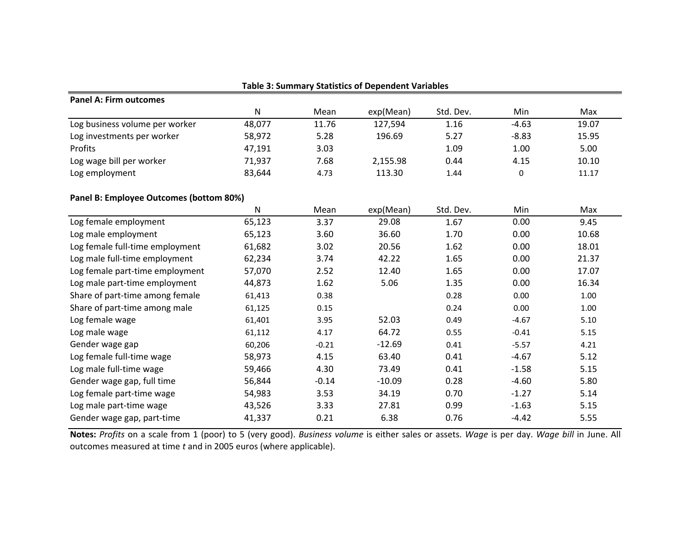| <b>Panel A: Firm outcomes</b>           |        |         |           |           |         |          |
|-----------------------------------------|--------|---------|-----------|-----------|---------|----------|
|                                         | N      | Mean    | exp(Mean) | Std. Dev. | Min     | Max      |
| Log business volume per worker          | 48,077 | 11.76   | 127,594   | 1.16      | $-4.63$ | 19.07    |
| Log investments per worker              | 58,972 | 5.28    | 196.69    | 5.27      | $-8.83$ | 15.95    |
| Profits                                 | 47,191 | 3.03    |           | 1.09      | 1.00    | 5.00     |
| Log wage bill per worker                | 71,937 | 7.68    | 2,155.98  | 0.44      | 4.15    | 10.10    |
| Log employment                          | 83,644 | 4.73    | 113.30    | 1.44      | 0       | 11.17    |
| Panel B: Employee Outcomes (bottom 80%) |        |         |           |           |         |          |
|                                         | N      | Mean    | exp(Mean) | Std. Dev. | Min     | Max      |
| Log female employment                   | 65,123 | 3.37    | 29.08     | 1.67      | 0.00    | 9.45     |
| Log male employment                     | 65,123 | 3.60    | 36.60     | 1.70      | 0.00    | 10.68    |
| Log female full-time employment         | 61,682 | 3.02    | 20.56     | 1.62      | 0.00    | 18.01    |
| Log male full-time employment           | 62,234 | 3.74    | 42.22     | 1.65      | 0.00    | 21.37    |
| Log female part-time employment         | 57,070 | 2.52    | 12.40     | 1.65      | 0.00    | 17.07    |
| Log male part-time employment           | 44,873 | 1.62    | 5.06      | 1.35      | 0.00    | 16.34    |
| Share of part-time among female         | 61,413 | 0.38    |           | 0.28      | 0.00    | $1.00\,$ |
| Share of part-time among male           | 61,125 | 0.15    |           | 0.24      | 0.00    | 1.00     |
| Log female wage                         | 61,401 | 3.95    | 52.03     | 0.49      | $-4.67$ | 5.10     |
| Log male wage                           | 61,112 | 4.17    | 64.72     | 0.55      | $-0.41$ | 5.15     |
| Gender wage gap                         | 60,206 | $-0.21$ | $-12.69$  | 0.41      | $-5.57$ | 4.21     |
| Log female full-time wage               | 58,973 | 4.15    | 63.40     | 0.41      | $-4.67$ | 5.12     |
| Log male full-time wage                 | 59,466 | 4.30    | 73.49     | 0.41      | $-1.58$ | 5.15     |
| Gender wage gap, full time              | 56,844 | $-0.14$ | $-10.09$  | 0.28      | $-4.60$ | 5.80     |
| Log female part-time wage               | 54,983 | 3.53    | 34.19     | 0.70      | $-1.27$ | 5.14     |
| Log male part-time wage                 | 43,526 | 3.33    | 27.81     | 0.99      | $-1.63$ | 5.15     |
| Gender wage gap, part-time              | 41,337 | 0.21    | 6.38      | 0.76      | $-4.42$ | 5.55     |

**Table 3: Summary Statistics of Dependent Variables** 

**Notes:** *Profits* on a scale from 1 (poor) to 5 (very good). *Business volume* is either sales or assets. *Wage* is per day. *Wage bill* in June. All outcomes measured at time *t* and in 2005 euros (where applicable).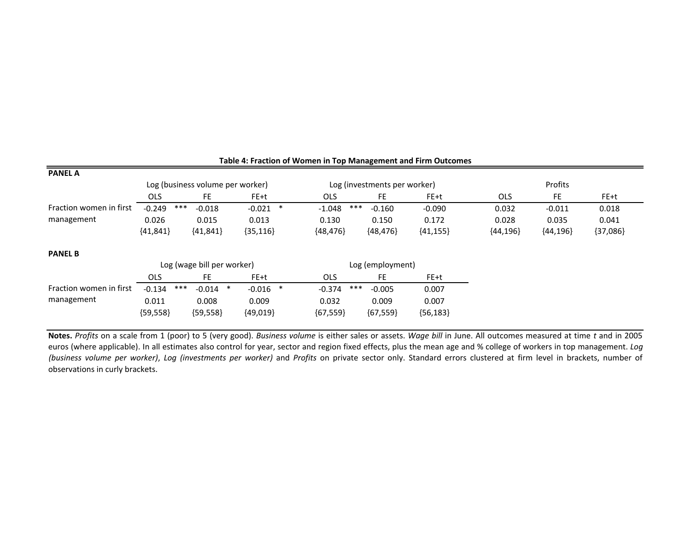| Table 4. Fraction of Women in Top Management and Firm Outcomes |                 |                                  |               |                 |                              |            |            |            |            |  |  |  |  |
|----------------------------------------------------------------|-----------------|----------------------------------|---------------|-----------------|------------------------------|------------|------------|------------|------------|--|--|--|--|
| <b>PANEL A</b>                                                 |                 |                                  |               |                 |                              |            |            |            |            |  |  |  |  |
|                                                                |                 | Log (business volume per worker) |               |                 | Log (investments per worker) |            |            | Profits    |            |  |  |  |  |
|                                                                | <b>OLS</b>      | FE.                              | FE+t          | <b>OLS</b>      | FE.                          | FE+t       | <b>OLS</b> | FE.        | FE+t       |  |  |  |  |
| Fraction women in first                                        | ***<br>$-0.249$ | $-0.018$                         | $-0.021$<br>∗ | ***<br>$-1.048$ | $-0.160$                     | $-0.090$   | 0.032      | $-0.011$   | 0.018      |  |  |  |  |
| management                                                     | 0.026           | 0.015                            | 0.013         | 0.130           | 0.150                        | 0.172      | 0.028      | 0.035      | 0.041      |  |  |  |  |
|                                                                | ${41,841}$      | ${41,841}$                       | ${35,116}$    | ${48,476}$      | ${48,476}$                   | ${41,155}$ | ${44,196}$ | ${44,196}$ | ${37,086}$ |  |  |  |  |
| <b>PANEL B</b>                                                 |                 |                                  |               |                 |                              |            |            |            |            |  |  |  |  |
|                                                                |                 | Log (wage bill per worker)       |               |                 | Log (employment)             |            |            |            |            |  |  |  |  |
|                                                                | <b>OLS</b>      | FE.                              | FE+t          | <b>OLS</b>      | FE                           | FE+t       |            |            |            |  |  |  |  |

### **Table 4: Fraction of Women in Top Management and Firm Outcomes**

**Notes.** *Profits* on a scale from 1 (poor) to 5 (very good). *Business volume* is either sales or assets. *Wage bill* in June. All outcomes measured at time *t* and in 2005 euros (where applicable). In all estimates also control for year, sector and region fixed effects, plus the mean age and % college of workers in top management. *Log (business volume per worker)*, *Log (investments per worker)* and *Profits* on private sector only. Standard errors clustered at firm level in brackets, number of observations in curly brackets.

-0.134 \*\*\* -0.014 \* -0.016 \* -0.374 \*\*\* -0.005 0.007 0.011 0.008 0.009 0.032 0.009 0.007  ${59,558}$   ${59,558}$   ${49,019}$   ${67,559}$   ${67,559}$   ${56,183}$ 

Fraction women in first

management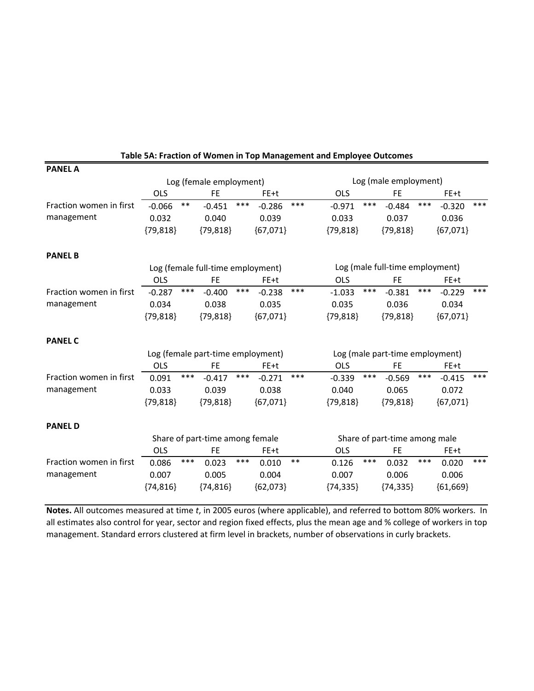| <b>PANEL A</b>          |            |       |                                       |       |            |       |            |     |                                     |       |            |       |
|-------------------------|------------|-------|---------------------------------------|-------|------------|-------|------------|-----|-------------------------------------|-------|------------|-------|
|                         |            |       | Log (female employment)               |       |            |       |            |     | Log (male employment)               |       |            |       |
|                         | <b>OLS</b> |       | FE                                    |       | FE+t       |       | <b>OLS</b> |     | <b>FE</b>                           |       | FE+t       |       |
| Fraction women in first | $-0.066$   | $***$ | $-0.451$                              | $***$ | $-0.286$   | $***$ | $-0.971$   | *** | $-0.484$                            | $***$ | $-0.320$   | $***$ |
| management              | 0.032      |       | 0.040                                 |       | 0.039      |       | 0.033      |     | 0.037                               |       | 0.036      |       |
|                         | ${79,818}$ |       | ${79,818}$                            |       | ${67,071}$ |       | ${79,818}$ |     | ${79,818}$                          |       | ${67,071}$ |       |
|                         |            |       |                                       |       |            |       |            |     |                                     |       |            |       |
| <b>PANEL B</b>          |            |       |                                       |       |            |       |            |     |                                     |       |            |       |
|                         |            |       | Log (female full-time employment)     |       |            |       |            |     | Log (male full-time employment)     |       |            |       |
|                         | OLS        |       | <b>FE</b>                             |       | FE+t       |       | <b>OLS</b> |     | FE                                  |       | FE+t       |       |
| Fraction women in first | $-0.287$   | $***$ | $-0.400$                              | $***$ | $-0.238$   | ***   | $-1.033$   | *** | $-0.381$                            | ***   | $-0.229$   | ***   |
| management              | 0.034      |       | 0.038                                 |       | 0.035      |       | 0.035      |     | 0.036                               |       | 0.034      |       |
|                         | ${79,818}$ |       | ${79,818}$                            |       | ${67,071}$ |       | ${79,818}$ |     | ${79,818}$                          |       | ${67,071}$ |       |
| <b>PANEL C</b>          |            |       |                                       |       |            |       |            |     |                                     |       |            |       |
|                         |            |       | Log (female part-time employment)     |       |            |       |            |     | Log (male part-time employment)     |       |            |       |
|                         | <b>OLS</b> |       | FE                                    |       | FE+t       |       | OLS        |     | <b>FE</b>                           |       | FE+t       |       |
| Fraction women in first | 0.091      | $***$ | $-0.417$                              | ***   | $-0.271$   | ***   | $-0.339$   | *** | $-0.569$                            | ***   | $-0.415$   | $***$ |
| management              | 0.033      |       | 0.039                                 |       | 0.038      |       | 0.040      |     | 0.065                               |       | 0.072      |       |
|                         | ${79,818}$ |       | ${79,818}$                            |       | ${67,071}$ |       | ${79,818}$ |     | ${79,818}$                          |       | ${67,071}$ |       |
| <b>PANEL D</b>          |            |       |                                       |       |            |       |            |     |                                     |       |            |       |
|                         |            |       |                                       |       |            |       |            |     |                                     |       |            |       |
|                         | <b>OLS</b> |       | Share of part-time among female<br>FE |       | FE+t       |       | <b>OLS</b> |     | Share of part-time among male<br>FE |       | FE+t       |       |
| Fraction women in first |            | ***   |                                       | $***$ |            | **    |            | *** |                                     | $***$ |            | ***   |
|                         | 0.086      |       | 0.023                                 |       | 0.010      |       | 0.126      |     | 0.032                               |       | 0.020      |       |
| management              | 0.007      |       | 0.005                                 |       | 0.004      |       | 0.007      |     | 0.006                               |       | 0.006      |       |
|                         | ${74,816}$ |       | ${74,816}$                            |       | ${62,073}$ |       | ${74,335}$ |     | ${74,335}$                          |       | ${61,669}$ |       |

### **Table 5A: Fraction of Women in Top Management and Employee Outcomes**

**Notes.** All outcomes measured at time *t*, in 2005 euros (where applicable), and referred to bottom 80% workers. In all estimates also control for year, sector and region fixed effects, plus the mean age and % college of workers in top management. Standard errors clustered at firm level in brackets, number of observations in curly brackets.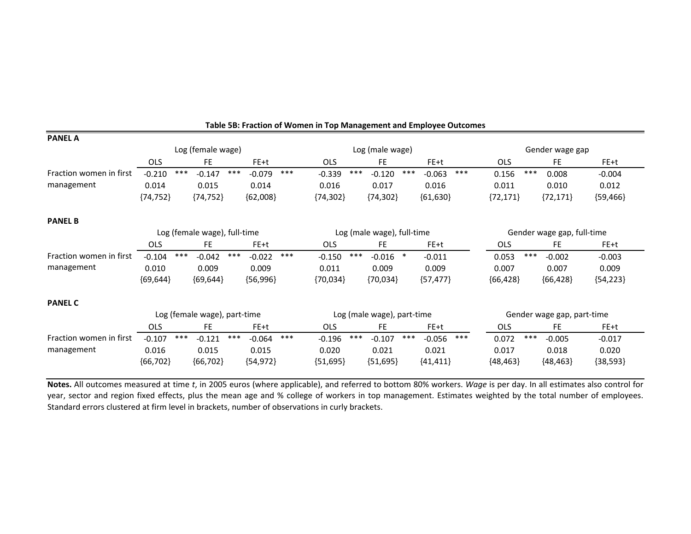| <b>PANEL A</b>          |            |                              |                            |            |                            |                          |                |                            |            |
|-------------------------|------------|------------------------------|----------------------------|------------|----------------------------|--------------------------|----------------|----------------------------|------------|
|                         |            | Log (female wage)            |                            |            | Log (male wage)            |                          |                | Gender wage gap            |            |
|                         | <b>OLS</b> | FE.                          | FE+t                       | <b>OLS</b> | <b>FE</b>                  | FE+t                     | <b>OLS</b>     | <b>FE</b>                  | FE+t       |
| Fraction women in first | $-0.210$   | $***$<br>$-0.147$            | $***$<br>$***$<br>$-0.079$ | $-0.339$   | $***$<br>$-0.120$          | $***$<br>***<br>$-0.063$ | ***<br>0.156   | 0.008                      | $-0.004$   |
| management              | 0.014      | 0.015                        | 0.014                      | 0.016      | 0.017                      | 0.016                    | 0.011          | 0.010                      | 0.012      |
|                         | ${74,752}$ | ${74,752}$                   | ${62,008}$                 | ${74,302}$ | ${74,302}$                 | ${61,630}$               | ${72, 171}$    | ${72,171}$                 | ${59,466}$ |
| <b>PANEL B</b>          |            |                              |                            |            |                            |                          |                |                            |            |
|                         |            | Log (female wage), full-time |                            |            | Log (male wage), full-time |                          |                | Gender wage gap, full-time |            |
|                         | <b>OLS</b> | <b>FE</b>                    | FE+t                       | <b>OLS</b> | <b>FE</b>                  | FE+t                     | <b>OLS</b>     | <b>FE</b>                  | FE+t       |
| Fraction women in first | $-0.104$   | $***$<br>$-0.042$            | ***<br>$***$<br>$-0.022$   | $-0.150$   | ***<br>$\ast$<br>$-0.016$  | $-0.011$                 | $***$<br>0.053 | $-0.002$                   | $-0.003$   |
| management              | 0.010      | 0.009                        | 0.009                      | 0.011      | 0.009                      | 0.009                    | 0.007          | 0.007                      | 0.009      |
|                         | ${69,644}$ | ${69,644}$                   | ${56,996}$                 | ${70,034}$ | ${70,034}$                 | ${57,477}$               | ${66,428}$     | ${66,428}$                 | ${54,223}$ |
| <b>PANEL C</b>          |            |                              |                            |            |                            |                          |                |                            |            |
|                         |            | Log (female wage), part-time |                            |            | Log (male wage), part-time |                          |                | Gender wage gap, part-time |            |
|                         | <b>OLS</b> | <b>FE</b>                    | FE+t                       | <b>OLS</b> | <b>FE</b>                  | FE+t                     | <b>OLS</b>     | <b>FE</b>                  | FE+t       |
| Fraction women in first | $-0.107$   | $***$<br>$-0.121$            | $***$<br>***<br>$-0.064$   | $-0.196$   | $***$<br>$-0.107$          | $***$<br>***<br>$-0.056$ | $***$<br>0.072 | $-0.005$                   | $-0.017$   |
| management              | 0.016      | 0.015                        | 0.015                      | 0.020      | 0.021                      | 0.021                    | 0.017          | 0.018                      | 0.020      |
|                         | ${66,702}$ | ${66,702}$                   | ${54,972}$                 | ${51,695}$ | ${51,695}$                 | ${41,411}$               | ${48,463}$     | ${48,463}$                 | ${38,593}$ |

### Table 5B: Fraction of Women in Top Management and Employee Outcomes

**Notes.** All outcomes measured at time *t*, in 2005 euros (where applicable), and referred to bottom 80% workers. *Wage* is per day. In all estimates also control for year, sector and region fixed effects, plus the mean age and % college of workers in top management. Estimates weighted by the total number of employees. Standard errors clustered at firm level in brackets, number of observations in curly brackets.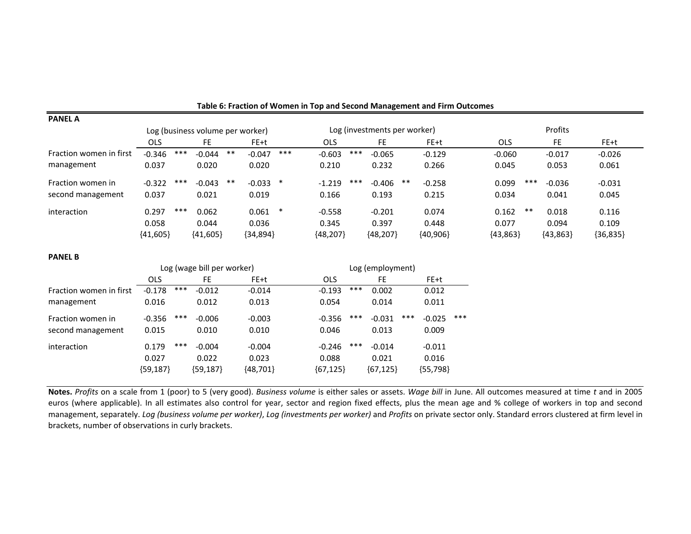| <b>PANEL A</b>          |            |       |                                  |       |            |        |                                 |       |                              |       |            |       |            |       |            |            |
|-------------------------|------------|-------|----------------------------------|-------|------------|--------|---------------------------------|-------|------------------------------|-------|------------|-------|------------|-------|------------|------------|
|                         |            |       | Log (business volume per worker) |       |            |        |                                 |       | Log (investments per worker) |       |            |       |            |       | Profits    |            |
|                         | <b>OLS</b> |       | FE.                              |       | FE+t       |        | <b>OLS</b>                      |       | FE.                          |       | FE+t       |       | <b>OLS</b> |       | FE.        | FE+t       |
| Fraction women in first | $-0.346$   | $***$ | $-0.044$                         | $***$ | $-0.047$   | $***$  | $-0.603$                        | $***$ | $-0.065$                     |       | $-0.129$   |       | $-0.060$   |       | $-0.017$   | $-0.026$   |
| management              | 0.037      |       | 0.020                            |       | 0.020      |        | 0.210                           |       | 0.232                        |       | 0.266      |       | 0.045      |       | 0.053      | 0.061      |
| Fraction women in       | $-0.322$   | $***$ | $-0.043$                         | $***$ | $-0.033$   | $\ast$ | $-1.219$                        | ***   | $-0.406$                     | $***$ | $-0.258$   |       | 0.099      | ***   | $-0.036$   | $-0.031$   |
| second management       | 0.037      |       | 0.021                            |       | 0.019      |        | 0.166                           |       | 0.193                        |       | 0.215      |       | 0.034      |       | 0.041      | 0.045      |
| interaction             | 0.297      | $***$ | 0.062                            |       | 0.061      | $\ast$ | $-0.558$                        |       | $-0.201$                     |       | 0.074      |       | 0.162      | $***$ | 0.018      | 0.116      |
|                         | 0.058      |       | 0.044                            |       | 0.036      |        | 0.345                           |       | 0.397                        |       | 0.448      |       | 0.077      |       | 0.094      | 0.109      |
|                         | ${41,605}$ |       | ${41,605}$                       |       | ${34,894}$ |        | ${48,207}$                      |       | ${48,207}$                   |       | ${40,906}$ |       | ${43,863}$ |       | ${43,863}$ | ${36,835}$ |
| <b>PANEL B</b>          |            |       |                                  |       |            |        |                                 |       |                              |       |            |       |            |       |            |            |
|                         |            |       | Log (wage bill per worker)       |       |            |        | Log (employment)                |       |                              |       |            |       |            |       |            |            |
|                         | <b>OLS</b> |       | <b>FE</b>                        |       | FE+t       |        | <b>OLS</b><br><b>FE</b><br>FE+t |       |                              |       |            |       |            |       |            |            |
| Fraction women in first | $-0.178$   | $***$ | $-0.012$                         |       | $-0.014$   |        | $-0.193$                        | $***$ | 0.002                        |       | 0.012      |       |            |       |            |            |
| management              | 0.016      |       | 0.012                            |       | 0.013      |        | 0.054                           |       | 0.014                        |       | 0.011      |       |            |       |            |            |
| Fraction women in       | $-0.356$   | $***$ | $-0.006$                         |       | $-0.003$   |        | $-0.356$                        | ***   | $-0.031$                     | $***$ | $-0.025$   | $***$ |            |       |            |            |
| second management       | 0.015      |       | 0.010                            |       | 0.010      |        | 0.046                           |       | 0.013                        |       | 0.009      |       |            |       |            |            |
| interaction             | 0.179      | $***$ | $-0.004$                         |       | $-0.004$   |        | $-0.246$                        | $***$ | $-0.014$                     |       | $-0.011$   |       |            |       |            |            |
|                         | 0.027      |       | 0.022                            |       | 0.023      |        | 0.088                           |       | 0.021                        |       | 0.016      |       |            |       |            |            |
|                         | ${59,187}$ |       | ${59,187}$                       |       | ${48,701}$ |        | ${67,125}$                      |       | ${67,125}$                   |       | ${55,798}$ |       |            |       |            |            |

Table 6: Fraction of Women in Top and Second Management and Firm Outcomes

**Notes.** *Profits* on a scale from 1 (poor) to 5 (very good). *Business volume* is either sales or assets. *Wage bill* in June. All outcomes measured at time *t* and in 2005 euros (where applicable). In all estimates also control for year, sector and region fixed effects, plus the mean age and % college of workers in top and second management, separately. Log (business volume per worker), Log (investments per worker) and Profits on private sector only. Standard errors clustered at firm level in brackets, number of observations in curly brackets.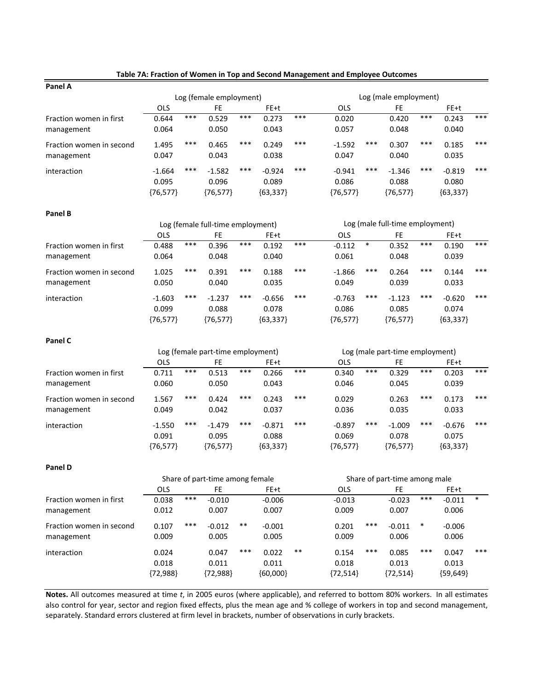| Panel A                  |            |     |                         |     |            |                       |            |     |            |       |            |       |
|--------------------------|------------|-----|-------------------------|-----|------------|-----------------------|------------|-----|------------|-------|------------|-------|
|                          |            |     | Log (female employment) |     |            | Log (male employment) |            |     |            |       |            |       |
|                          | <b>OLS</b> |     | FE                      |     | FE+t       |                       | <b>OLS</b> |     | FE         |       | FE+t       |       |
| Fraction women in first  | 0.644      | *** | 0.529                   | *** | 0.273      | ***                   | 0.020      |     | 0.420      | ***   | 0.243      | $***$ |
| management               | 0.064      |     | 0.050                   |     | 0.043      |                       | 0.057      |     | 0.048      |       | 0.040      |       |
| Fraction women in second | 1.495      | *** | 0.465                   | *** | 0.249      | ***                   | $-1.592$   | *** | 0.307      | ***   | 0.185      | ***   |
| management               | 0.047      |     | 0.043                   |     | 0.038      |                       | 0.047      |     | 0.040      |       | 0.035      |       |
| interaction              | $-1.664$   | *** | $-1.582$                | *** | $-0.924$   | ***                   | $-0.941$   | *** | $-1.346$   | $***$ | $-0.819$   | ***   |
|                          | 0.095      |     | 0.096                   |     | 0.089      |                       | 0.086      |     | 0.088      |       | 0.080      |       |
|                          | ${76,577}$ |     | ${76,577}$              |     | ${63,337}$ |                       | ${76,577}$ |     | ${76,577}$ |       | ${63,337}$ |       |

### Table 7A: Fraction of Women in Top and Second Management and Employee Outcomes

#### **Panel B**

|                          |            |     | Log (female full-time employment) |     |            |     | Log (male full-time employment) |     |            |     |            |     |
|--------------------------|------------|-----|-----------------------------------|-----|------------|-----|---------------------------------|-----|------------|-----|------------|-----|
|                          | OLS        |     | FE                                |     | FE+t       |     | <b>OLS</b>                      |     | FE         |     | FE+t       |     |
| Fraction women in first  | 0.488      | *** | 0.396                             | *** | 0.192      | *** | $-0.112$                        | ∗   | 0.352      | *** | 0.190      | *** |
| management               | 0.064      |     | 0.048                             |     | 0.040      |     | 0.061                           |     | 0.048      |     | 0.039      |     |
| Fraction women in second | 1.025      | *** | 0.391                             | *** | 0.188      | *** | $-1.866$                        | *** | 0.264      | *** | 0.144      | *** |
| management               | 0.050      |     | 0.040                             |     | 0.035      |     | 0.049                           |     | 0.039      |     | 0.033      |     |
| interaction              | $-1.603$   | *** | $-1.237$                          | *** | $-0.656$   | *** | $-0.763$                        | *** | $-1.123$   | *** | $-0.620$   | *** |
|                          | 0.099      |     | 0.088                             |     | 0.078      |     | 0.086                           |     | 0.085      |     | 0.074      |     |
|                          | ${76,577}$ |     | ${76,577}$                        |     | ${63,337}$ |     | ${76,577}$                      |     | ${76,577}$ |     | ${63,337}$ |     |

#### **Panel C**

|                          |            |     | Log (female part-time employment) |     |            |     | Log (male part-time employment) |     |            |     |            |       |
|--------------------------|------------|-----|-----------------------------------|-----|------------|-----|---------------------------------|-----|------------|-----|------------|-------|
|                          | OLS        |     | FE                                |     | FE+t       |     | OLS                             |     | FE         |     | FE+t       |       |
| Fraction women in first  | 0.711      | *** | 0.513                             | *** | 0.266      | *** | 0.340                           | *** | 0.329      | *** | 0.203      | $***$ |
| management               | 0.060      |     | 0.050                             |     | 0.043      |     | 0.046                           |     | 0.045      |     | 0.039      |       |
| Fraction women in second | 1.567      | *** | 0.424                             | *** | 0.243      | *** | 0.029                           |     | 0.263      | *** | 0.173      | ***   |
| management               | 0.049      |     | 0.042                             |     | 0.037      |     | 0.036                           |     | 0.035      |     | 0.033      |       |
| interaction              | $-1.550$   | *** | $-1.479$                          | *** | $-0.871$   | *** | $-0.897$                        | *** | $-1.009$   | *** | $-0.676$   | ***   |
|                          | 0.091      |     | 0.095                             |     | 0.088      |     | 0.069                           |     | 0.078      |     | 0.075      |       |
|                          | ${76,577}$ |     | ${76,577}$                        |     | ${63,337}$ |     | ${76,577}$                      |     | ${76,577}$ |     | ${63,337}$ |       |

#### **Panel D**

|                          |            |     | Share of part-time among female |       |            | Share of part-time among male |            |     |            |     |            |        |
|--------------------------|------------|-----|---------------------------------|-------|------------|-------------------------------|------------|-----|------------|-----|------------|--------|
|                          | OLS        |     | FE                              |       | FE+t       |                               | <b>OLS</b> |     | FE         |     | FE+t       |        |
| Fraction women in first  | 0.038      | *** | $-0.010$                        |       | $-0.006$   |                               | $-0.013$   |     | $-0.023$   | *** | $-0.011$   | $\ast$ |
| management               | 0.012      |     | 0.007                           |       | 0.007      |                               | 0.009      |     | 0.007      |     | 0.006      |        |
| Fraction women in second | 0.107      | *** | $-0.012$                        | $***$ | $-0.001$   |                               | 0.201      | *** | $-0.011$   | *   | $-0.006$   |        |
| management               | 0.009      |     | 0.005                           |       | 0.005      |                               | 0.009      |     | 0.006      |     | 0.006      |        |
| interaction              | 0.024      |     | 0.047                           | ***   | 0.022      | $***$                         | 0.154      | *** | 0.085      | *** | 0.047      | ***    |
|                          | 0.018      |     | 0.011                           |       | 0.011      |                               | 0.018      |     | 0.013      |     | 0.013      |        |
|                          | ${72,988}$ |     | ${72,988}$                      |       | ${60,000}$ |                               | ${72,514}$ |     | ${72,514}$ |     | ${59,649}$ |        |

**Notes.** All outcomes measured at time *t*, in 2005 euros (where applicable), and referred to bottom 80% workers. In all estimates also control for year, sector and region fixed effects, plus the mean age and % college of workers in top and second management, separately. Standard errors clustered at firm level in brackets, number of observations in curly brackets.